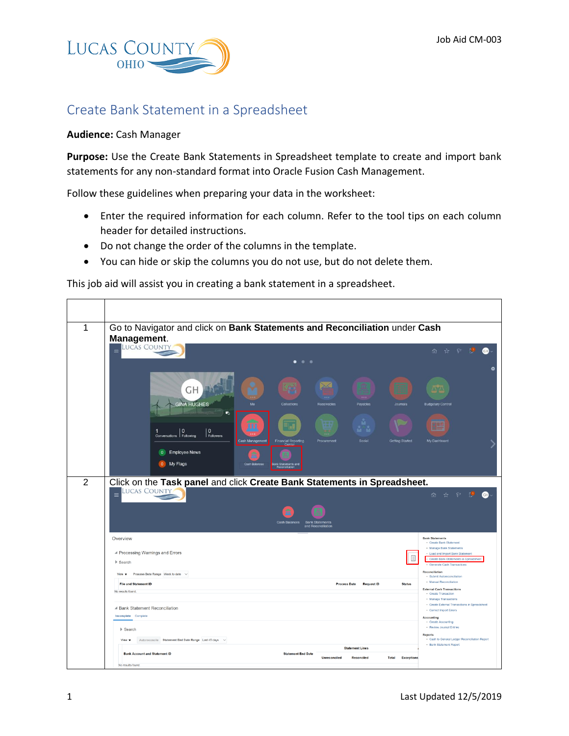

## Create Bank Statement in a Spreadsheet

## **Audience:** Cash Manager

**Purpose:** Use the Create Bank Statements in Spreadsheet template to create and import bank statements for any non-standard format into Oracle Fusion Cash Management.

Follow these guidelines when preparing your data in the worksheet:

- Enter the required information for each column. Refer to the tool tips on each column header for detailed instructions.
- Do not change the order of the columns in the template.
- You can hide or skip the columns you do not use, but do not delete them.

This job aid will assist you in creating a bank statement in a spreadsheet.

| 1 | Go to Navigator and click on Bank Statements and Reconciliation under Cash<br>Management.<br>LUCAS COUNTY                                                                     |                                                                                                                                                                                                 |
|---|-------------------------------------------------------------------------------------------------------------------------------------------------------------------------------|-------------------------------------------------------------------------------------------------------------------------------------------------------------------------------------------------|
|   | $\equiv$                                                                                                                                                                      | P U<br>GD.<br>☆<br>fù.<br>츴                                                                                                                                                                     |
|   | ✕<br>GH<br>1.11<br><b>GINA HUGHES</b><br>Mo<br>Collections<br>Receivables<br>Payables<br>Journals                                                                             | <b>Budgetary Control</b>                                                                                                                                                                        |
|   | 55<br>$\Omega$<br>$\Omega$<br>1<br>Conversations Following<br>Followers<br>Cash Management<br><b>Financial Reporting</b><br>Procurement<br>Social<br>Getting Started<br>Cente | My Dashboard                                                                                                                                                                                    |
|   | <b>Employee News</b><br>$\overline{0}$<br>My Flags<br>0                                                                                                                       |                                                                                                                                                                                                 |
| 2 | Click on the Task panel and click Create Bank Statements in Spreadsheet.<br><b>LUCAS COUNTY</b><br>$\equiv$<br>Cash Balances<br><b>Bank Statements</b><br>and Reconciliation  | 6 ☆ ♀ 12 ●                                                                                                                                                                                      |
|   | Overview<br>▲ Processing Warnings and Errors<br>目<br>$\blacktriangleright$ Search                                                                                             | <b>Bank Statements</b><br>· Create Bank Statement<br>· Manage Bank Statements<br>- Load and Import Bank Statement<br>Create Bank Statements in Spreadsheet<br><b>Generate Cash Transactions</b> |
|   | View $\blacktriangledown$ Process Date Range Week to date $\check{\smile}$                                                                                                    | Reconciliation<br>· Submit Autoreconciliation<br>· Manual Reconciliation                                                                                                                        |
|   | <b>File and Statement ID</b><br><b>Process Date</b><br><b>Request ID</b><br><b>Status</b><br>No results found.                                                                | <b>External Cash Transactions</b><br>· Create Transaction<br>· Manage Transactions                                                                                                              |
|   | ▲ Bank Statement Reconciliation<br>Incomplete Complete                                                                                                                        | • Create External Transactions in Spreadsheet<br>• Correct Import Errors<br>Accounting<br>• Create Accounting                                                                                   |
|   | $\blacktriangleright$ Search<br>Autoreconcile Statement End Date Range Last 45 days $\vee$<br>View $\mathbf v$                                                                | · Review Journal Entries<br><b>Reports</b><br>. Cash to General Ledger Reconciliation Report<br>· Bank Statement Report                                                                         |
|   | <b>Statement Lines</b><br><b>Bank Account and Statement ID</b><br><b>Statement End Date</b><br><b>Unreconciled</b><br>Reconciled<br><b>Total</b><br><b>Exceptions</b>         |                                                                                                                                                                                                 |
|   | No results found.                                                                                                                                                             |                                                                                                                                                                                                 |